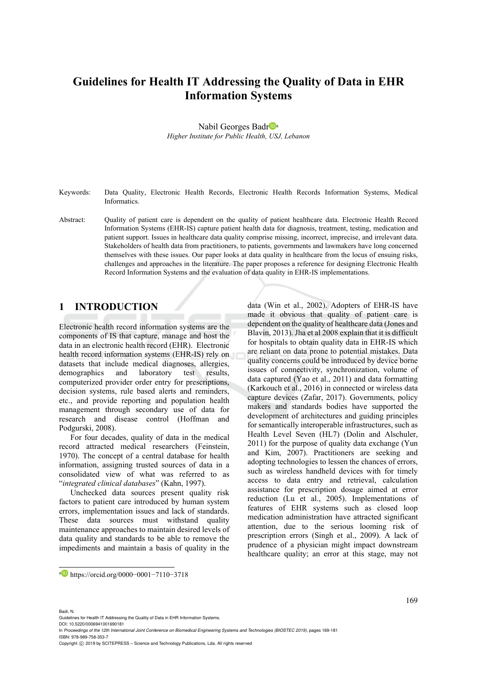# **Guidelines for Health IT Addressing the Quality of Data in EHR Information Systems**

Nabil Georges Badr<sup>Da</sup> *Higher Institute for Public Health, USJ, Lebanon* 

Keywords: Data Quality, Electronic Health Records, Electronic Health Records Information Systems, Medical **Informatics** 

Abstract: Quality of patient care is dependent on the quality of patient healthcare data. Electronic Health Record Information Systems (EHR-IS) capture patient health data for diagnosis, treatment, testing, medication and patient support. Issues in healthcare data quality comprise missing, incorrect, imprecise, and irrelevant data. Stakeholders of health data from practitioners, to patients, governments and lawmakers have long concerned themselves with these issues. Our paper looks at data quality in healthcare from the locus of ensuing risks, challenges and approaches in the literature. The paper proposes a reference for designing Electronic Health Record Information Systems and the evaluation of data quality in EHR-IS implementations.

# **1 INTRODUCTION**

Electronic health record information systems are the components of IS that capture, manage and host the data in an electronic health record (EHR). Electronic health record information systems (EHR-IS) rely on datasets that include medical diagnoses, allergies, demographics and laboratory test results, computerized provider order entry for prescriptions, decision systems, rule based alerts and reminders, etc., and provide reporting and population health management through secondary use of data for research and disease control (Hoffman and Podgurski, 2008).

For four decades, quality of data in the medical record attracted medical researchers (Feinstein, 1970). The concept of a central database for health information, assigning trusted sources of data in a consolidated view of what was referred to as "*integrated clinical databases*" (Kahn, 1997).

Unchecked data sources present quality risk factors to patient care introduced by human system errors, implementation issues and lack of standards. These data sources must withstand quality maintenance approaches to maintain desired levels of data quality and standards to be able to remove the impediments and maintain a basis of quality in the data (Win et al., 2002). Adopters of EHR-IS have made it obvious that quality of patient care is dependent on the quality of healthcare data (Jones and Blavin, 2013). Jha et al 2008 explain that it is difficult for hospitals to obtain quality data in EHR-IS which are reliant on data prone to potential mistakes. Data quality concerns could be introduced by device borne issues of connectivity, synchronization, volume of data captured (Yao et al., 2011) and data formatting (Karkouch et al., 2016) in connected or wireless data capture devices (Zafar, 2017). Governments, policy makers and standards bodies have supported the development of architectures and guiding principles for semantically interoperable infrastructures, such as Health Level Seven (HL7) (Dolin and Alschuler, 2011) for the purpose of quality data exchange (Yun and Kim, 2007). Practitioners are seeking and adopting technologies to lessen the chances of errors, such as wireless handheld devices with for timely access to data entry and retrieval, calculation assistance for prescription dosage aimed at error reduction (Lu et al., 2005). Implementations of features of EHR systems such as closed loop medication administration have attracted significant attention, due to the serious looming risk of prescription errors (Singh et al., 2009). A lack of prudence of a physician might impact downstream healthcare quality; an error at this stage, may not

#### Badr, N.

 $\overline{a}$ 

Guidelines for Health IT Addressing the Quality of Data in EHR Information Systems.

DOI: 10.5220/0006941001690181

In *Proceedings of the 12th International Joint Conference on Biomedical Engineering Systems and Technologies (BIOSTEC 2019)*, pages 169-181 ISBN: 978-989-758-353-7

a https://orcid.org/0000−0001−7110−3718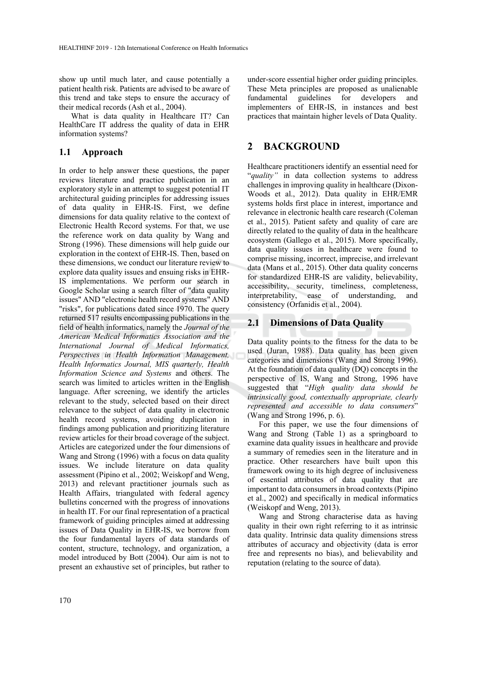show up until much later, and cause potentially a patient health risk. Patients are advised to be aware of this trend and take steps to ensure the accuracy of their medical records (Ash et al., 2004).

What is data quality in Healthcare IT? Can HealthCare IT address the quality of data in EHR information systems?

### **1.1 Approach**

In order to help answer these questions, the paper reviews literature and practice publication in an exploratory style in an attempt to suggest potential IT architectural guiding principles for addressing issues of data quality in EHR-IS. First, we define dimensions for data quality relative to the context of Electronic Health Record systems. For that, we use the reference work on data quality by Wang and Strong (1996). These dimensions will help guide our exploration in the context of EHR-IS. Then, based on these dimensions, we conduct our literature review to explore data quality issues and ensuing risks in EHR-IS implementations. We perform our search in Google Scholar using a search filter of "data quality issues" AND "electronic health record systems" AND "risks", for publications dated since 1970. The query returned 517 results encompassing publications in the field of health informatics, namely the *Journal of the American Medical Informatics Association and the International Journal of Medical Informatics, Perspectives in Health Information Management, Health Informatics Journal, MIS quarterly, Health Information Science and Systems* and others. The search was limited to articles written in the English language. After screening, we identify the articles relevant to the study, selected based on their direct relevance to the subject of data quality in electronic health record systems, avoiding duplication in findings among publication and prioritizing literature review articles for their broad coverage of the subject. Articles are categorized under the four dimensions of Wang and Strong (1996) with a focus on data quality issues. We include literature on data quality assessment (Pipino et al., 2002; Weiskopf and Weng, 2013) and relevant practitioner journals such as Health Affairs, triangulated with federal agency bulletins concerned with the progress of innovations in health IT. For our final representation of a practical framework of guiding principles aimed at addressing issues of Data Quality in EHR-IS, we borrow from the four fundamental layers of data standards of content, structure, technology, and organization, a model introduced by Bott (2004). Our aim is not to present an exhaustive set of principles, but rather to

under-score essential higher order guiding principles. These Meta principles are proposed as unalienable fundamental guidelines for developers and implementers of EHR-IS, in instances and best practices that maintain higher levels of Data Quality.

# **2 BACKGROUND**

Healthcare practitioners identify an essential need for "*quality"* in data collection systems to address challenges in improving quality in healthcare (Dixon-Woods et al., 2012). Data quality in EHR/EMR systems holds first place in interest, importance and relevance in electronic health care research (Coleman et al., 2015). Patient safety and quality of care are directly related to the quality of data in the healthcare ecosystem (Gallego et al., 2015). More specifically, data quality issues in healthcare were found to comprise missing, incorrect, imprecise, and irrelevant data (Mans et al., 2015). Other data quality concerns for standardized EHR-IS are validity, believability, accessibility, security, timeliness, completeness, interpretability, ease of understanding, and consistency (Orfanidis et al., 2004).

### **2.1 Dimensions of Data Quality**

Data quality points to the fitness for the data to be used (Juran, 1988). Data quality has been given categories and dimensions (Wang and Strong 1996). At the foundation of data quality (DQ) concepts in the perspective of IS, Wang and Strong, 1996 have suggested that "*High quality data should be intrinsically good, contextually appropriate, clearly represented and accessible to data consumers*" (Wang and Strong 1996, p. 6).

For this paper, we use the four dimensions of Wang and Strong (Table 1) as a springboard to examine data quality issues in healthcare and provide a summary of remedies seen in the literature and in practice. Other researchers have built upon this framework owing to its high degree of inclusiveness of essential attributes of data quality that are important to data consumers in broad contexts (Pipino et al., 2002) and specifically in medical informatics (Weiskopf and Weng, 2013).

Wang and Strong characterise data as having quality in their own right referring to it as intrinsic data quality. Intrinsic data quality dimensions stress attributes of accuracy and objectivity (data is error free and represents no bias), and believability and reputation (relating to the source of data).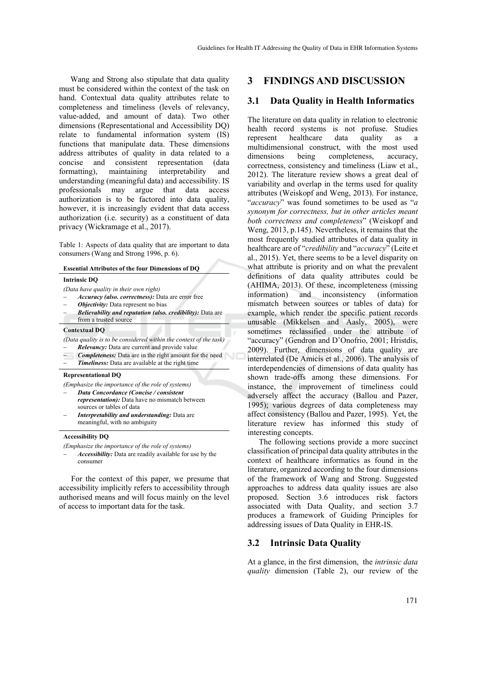Wang and Strong also stipulate that data quality must be considered within the context of the task on hand. Contextual data quality attributes relate to completeness and timeliness (levels of relevancy, value-added, and amount of data). Two other dimensions (Representational and Accessibility DQ) relate to fundamental information system (IS) functions that manipulate data. These dimensions address attributes of quality in data related to a concise and consistent representation (data<br>formatting), maintaining interpretability and maintaining interpretability and understanding (meaningful data) and accessibility. IS professionals may argue that data access authorization is to be factored into data quality, however, it is increasingly evident that data access authorization (i.e. security) as a constituent of data privacy (Wickramage et al., 2017).

Table 1: Aspects of data quality that are important to data consumers (Wang and Strong 1996, p. 6).

#### **Essential Attributes of the four Dimensions of DQ**

#### **Intrinsic DQ**

- *(Data have quality in their own right)*
- *Accuracy (also. correctness):* Data are error free
- *Objectivity:* Data represent no bias
- *Believability and reputation (also. credibility):* Data are from a trusted source

#### **Contextual DQ**

- *(Data quality is to be considered within the context of the task)*
- *Relevancy:* Data are current and provide value
- *Completeness:* Data are in the right amount for the need *Timeliness:* Data are available at the right time

#### **Representational DQ**

*(Emphasize the importance of the role of systems)*

- *Data Concordance (Concise / consistent representation):* Data have no mismatch between sources or tables of data
- *Interpretability and understanding:* Data are meaningful, with no ambiguity

#### **Accessibility DQ**

*(Emphasize the importance of the role of systems)*

 *Accessibility:* Data are readily available for use by the consumer

For the context of this paper, we presume that accessibility implicitly refers to accessibility through authorised means and will focus mainly on the level of access to important data for the task.

### **3 FINDINGS AND DISCUSSION**

### **3.1 Data Quality in Health Informatics**

The literature on data quality in relation to electronic health record systems is not profuse. Studies represent healthcare data quality as a multidimensional construct, with the most used dimensions being completeness, accuracy, correctness, consistency and timeliness (Liaw et al., 2012). The literature review shows a great deal of variability and overlap in the terms used for quality attributes (Weiskopf and Weng, 2013). For instance, "*accuracy*" was found sometimes to be used as "*a synonym for correctness, but in other articles meant both correctness and completeness*" (Weiskopf and Weng, 2013, p.145). Nevertheless, it remains that the most frequently studied attributes of data quality in healthcare are of "*credibility* and "*accuracy*" (Leite et al., 2015). Yet, there seems to be a level disparity on what attribute is priority and on what the prevalent definitions of data quality attributes could be (AHIMA, 2013). Of these, incompleteness (missing information) and inconsistency (information mismatch between sources or tables of data) for example, which render the specific patient records unusable (Mikkelsen and Aasly, 2005), were sometimes reclassified under the attribute of "accuracy" (Gendron and D'Onofrio, 2001; Hristdis, 2009). Further, dimensions of data quality are interrelated (De Amicis et al., 2006). The analysis of interdependencies of dimensions of data quality has shown trade-offs among these dimensions. For instance, the improvement of timeliness could adversely affect the accuracy (Ballou and Pazer, 1995); various degrees of data completeness may affect consistency (Ballou and Pazer, 1995). Yet, the literature review has informed this study of interesting concepts.

The following sections provide a more succinct classification of principal data quality attributes in the context of healthcare informatics as found in the literature, organized according to the four dimensions of the framework of Wang and Strong. Suggested approaches to address data quality issues are also proposed. Section 3.6 introduces risk factors associated with Data Quality, and section 3.7 produces a framework of Guiding Principles for addressing issues of Data Quality in EHR-IS.

#### **3.2 Intrinsic Data Quality**

At a glance, in the first dimension, the *intrinsic data quality* dimension (Table 2), our review of the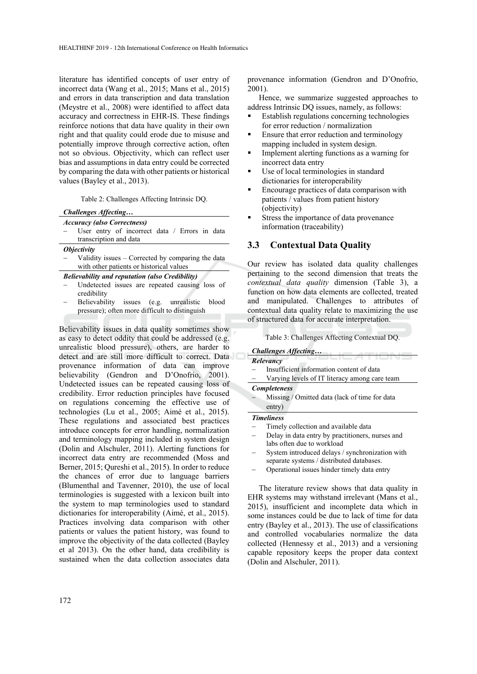literature has identified concepts of user entry of incorrect data (Wang et al., 2015; Mans et al., 2015) and errors in data transcription and data translation (Meystre et al., 2008) were identified to affect data accuracy and correctness in EHR-IS. These findings reinforce notions that data have quality in their own right and that quality could erode due to misuse and potentially improve through corrective action, often not so obvious. Objectivity, which can reflect user bias and assumptions in data entry could be corrected by comparing the data with other patients or historical values (Bayley et al., 2013).

Table 2: Challenges Affecting Intrinsic DQ.

| Challenges Affecting |  |
|----------------------|--|
|                      |  |

|  |  | <b>Accuracy</b> (also Correctness) |
|--|--|------------------------------------|
|--|--|------------------------------------|

- User entry of incorrect data / Errors in data transcription and data
- *Objectivity*
- Validity issues Corrected by comparing the data with other patients or historical values

#### *Believability and reputation (also Credibility)*

- Undetected issues are repeated causing loss of credibility
- Believability issues (e.g. unrealistic blood pressure); often more difficult to distinguish

Believability issues in data quality sometimes show as easy to detect oddity that could be addressed (e.g. unrealistic blood pressure), others, are harder to detect and are still more difficult to correct. Data provenance information of data can improve believability (Gendron and D'Onofrio, 2001). Undetected issues can be repeated causing loss of credibility. Error reduction principles have focused on regulations concerning the effective use of technologies (Lu et al., 2005; Aimé et al., 2015). These regulations and associated best practices introduce concepts for error handling, normalization and terminology mapping included in system design (Dolin and Alschuler, 2011). Alerting functions for incorrect data entry are recommended (Moss and Berner, 2015; Qureshi et al., 2015). In order to reduce the chances of error due to language barriers (Blumenthal and Tavenner, 2010), the use of local terminologies is suggested with a lexicon built into the system to map terminologies used to standard dictionaries for interoperability (Aimé, et al., 2015). Practices involving data comparison with other patients or values the patient history, was found to improve the objectivity of the data collected (Bayley et al 2013). On the other hand, data credibility is sustained when the data collection associates data

provenance information (Gendron and D'Onofrio, 2001).

Hence, we summarize suggested approaches to address Intrinsic DQ issues, namely, as follows:

- Establish regulations concerning technologies for error reduction / normalization
- **Ensure that error reduction and terminology** mapping included in system design.
- Implement alerting functions as a warning for incorrect data entry
- Use of local terminologies in standard dictionaries for interoperability
- Encourage practices of data comparison with patients / values from patient history (objectivity)
- **Stress the importance of data provenance** information (traceability)

### **3.3 Contextual Data Quality**

Our review has isolated data quality challenges pertaining to the second dimension that treats the *contextual data quality* dimension (Table 3), a function on how data elements are collected, treated and manipulated. Challenges to attributes of contextual data quality relate to maximizing the use of structured data for accurate interpretation.

Table 3: Challenges Affecting Contextual DQ.

| <b>Challenges Affecting</b> |  |
|-----------------------------|--|
| Relevancy                   |  |

- Insufficient information content of data
- Varying levels of IT literacy among care team

*Completeness* 

 Missing / Omitted data (lack of time for data entry)

*Timeliness* 

- Timely collection and available data
- Delay in data entry by practitioners, nurses and labs often due to workload
- System introduced delays / synchronization with separate systems / distributed databases.
- Operational issues hinder timely data entry

The literature review shows that data quality in EHR systems may withstand irrelevant (Mans et al., 2015), insufficient and incomplete data which in some instances could be due to lack of time for data entry (Bayley et al., 2013). The use of classifications and controlled vocabularies normalize the data collected (Hennessy et al., 2013) and a versioning capable repository keeps the proper data context (Dolin and Alschuler, 2011).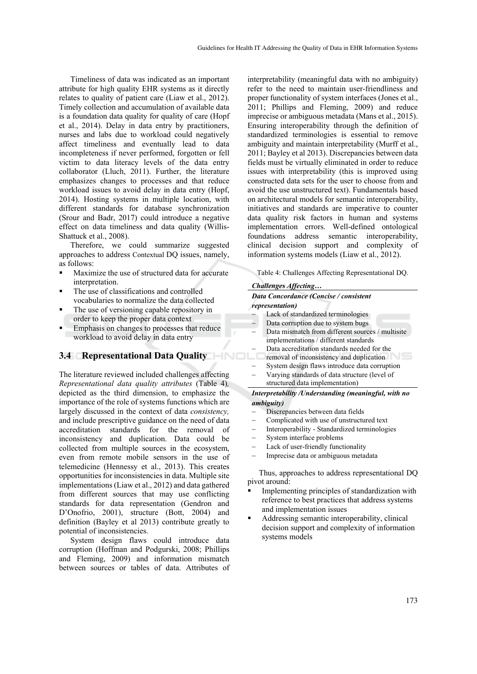Timeliness of data was indicated as an important attribute for high quality EHR systems as it directly relates to quality of patient care (Liaw et al., 2012). Timely collection and accumulation of available data is a foundation data quality for quality of care (Hopf et al., 2014). Delay in data entry by practitioners, nurses and labs due to workload could negatively affect timeliness and eventually lead to data incompleteness if never performed, forgotten or fell victim to data literacy levels of the data entry collaborator (Lluch, 2011). Further, the literature emphasizes changes to processes and that reduce workload issues to avoid delay in data entry (Hopf, 2014). Hosting systems in multiple location, with different standards for database synchronization (Srour and Badr, 2017) could introduce a negative effect on data timeliness and data quality (Willis-Shattuck et al., 2008).

Therefore, we could summarize suggested approaches to address Contextual DQ issues, namely, as follows:

- Maximize the use of structured data for accurate interpretation.
- The use of classifications and controlled vocabularies to normalize the data collected
- The use of versioning capable repository in order to keep the proper data context
- Emphasis on changes to processes that reduce workload to avoid delay in data entry

### **3.4 Representational Data Quality**

The literature reviewed included challenges affecting *Representational data quality attributes* (Table 4)*,*  depicted as the third dimension, to emphasize the importance of the role of systems functions which are largely discussed in the context of data *consistency,*  and include prescriptive guidance on the need of data accreditation standards for the removal of inconsistency and duplication. Data could be collected from multiple sources in the ecosystem, even from remote mobile sensors in the use of telemedicine (Hennessy et al., 2013). This creates opportunities for inconsistencies in data. Multiple site implementations (Liaw et al., 2012) and data gathered from different sources that may use conflicting standards for data representation (Gendron and D'Onofrio, 2001), structure (Bott, 2004) and definition (Bayley et al 2013) contribute greatly to potential of inconsistencies.

System design flaws could introduce data corruption (Hoffman and Podgurski, 2008; Phillips and Fleming, 2009) and information mismatch between sources or tables of data. Attributes of

interpretability (meaningful data with no ambiguity) refer to the need to maintain user-friendliness and proper functionality of system interfaces (Jones et al., 2011; Phillips and Fleming, 2009) and reduce imprecise or ambiguous metadata (Mans et al., 2015). Ensuring interoperability through the definition of standardized terminologies is essential to remove ambiguity and maintain interpretability (Murff et al., 2011; Bayley et al 2013). Discrepancies between data fields must be virtually eliminated in order to reduce issues with interpretability (this is improved using constructed data sets for the user to choose from and avoid the use unstructured text). Fundamentals based on architectural models for semantic interoperability, initiatives and standards are imperative to counter data quality risk factors in human and systems implementation errors. Well-defined ontological foundations address semantic interoperability, clinical decision support and complexity of information systems models (Liaw et al., 2012).

Table 4: Challenges Affecting Representational DQ.

#### *Challenges Affecting…*

#### *Data Concordance (Concise / consistent representation)*

- Lack of standardized terminologies
- Data corruption due to system bugs
- Data mismatch from different sources / multisite implementations / different standards
- Data accreditation standards needed for the
- removal of inconsistency and duplication
- System design flaws introduce data corruption
- Varying standards of data structure (level of structured data implementation)

#### *Interpretability /Understanding (meaningful, with no ambiguity)*

- Discrepancies between data fields
- Complicated with use of unstructured text
- Interoperability Standardized terminologies
- System interface problems
- Lack of user-friendly functionality
- Imprecise data or ambiguous metadata

Thus, approaches to address representational DQ pivot around:

- Implementing principles of standardization with reference to best practices that address systems and implementation issues
- Addressing semantic interoperability, clinical decision support and complexity of information systems models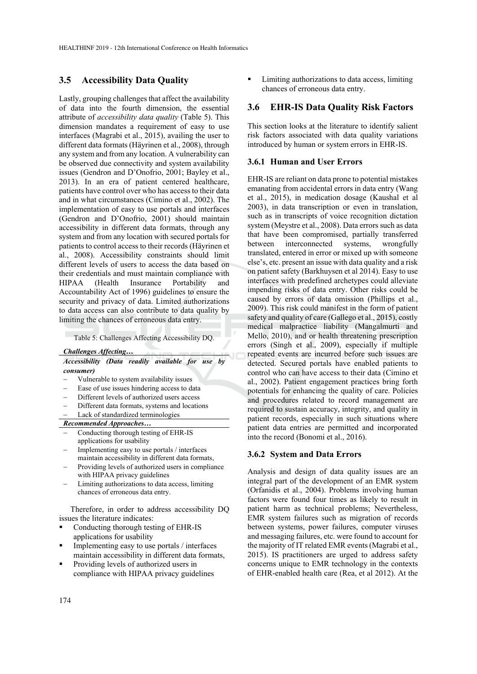### **3.5 Accessibility Data Quality**

Lastly, grouping challenges that affect the availability of data into the fourth dimension, the essential attribute of *accessibility data quality* (Table 5). This dimension mandates a requirement of easy to use interfaces (Magrabi et al., 2015), availing the user to different data formats (Häyrinen et al., 2008), through any system and from any location. A vulnerability can be observed due connectivity and system availability issues (Gendron and D'Onofrio, 2001; Bayley et al., 2013). In an era of patient centered healthcare, patients have control over who has access to their data and in what circumstances (Cimino et al., 2002). The implementation of easy to use portals and interfaces (Gendron and D'Onofrio, 2001) should maintain accessibility in different data formats, through any system and from any location with secured portals for patients to control access to their records (Häyrinen et al., 2008). Accessibility constraints should limit different levels of users to access the data based on their credentials and must maintain compliance with HIPAA (Health Insurance Portability and Accountability Act of 1996) guidelines to ensure the security and privacy of data. Limited authorizations to data access can also contribute to data quality by limiting the chances of erroneous data entry.

Table 5: Challenges Affecting Accessibility DQ.

*Challenges Affecting…*

#### *Accessibility (Data readily available for use by consumer)*

- Vulnerable to system availability issues
- Ease of use issues hindering access to data
- Different levels of authorized users access
- Different data formats, systems and locations
- Lack of standardized terminologies

*Recommended Approaches…*

- Conducting thorough testing of EHR-IS applications for usability
- Implementing easy to use portals / interfaces maintain accessibility in different data formats,
- Providing levels of authorized users in compliance with HIPAA privacy guidelines
- Limiting authorizations to data access, limiting chances of erroneous data entry.

Therefore, in order to address accessibility DQ issues the literature indicates:

- Conducting thorough testing of EHR-IS applications for usability
- $\blacksquare$  Implementing easy to use portals / interfaces maintain accessibility in different data formats,
- Providing levels of authorized users in compliance with HIPAA privacy guidelines

 Limiting authorizations to data access, limiting chances of erroneous data entry.

### **3.6 EHR-IS Data Quality Risk Factors**

This section looks at the literature to identify salient risk factors associated with data quality variations introduced by human or system errors in EHR-IS.

#### **3.6.1 Human and User Errors**

EHR-IS are reliant on data prone to potential mistakes emanating from accidental errors in data entry (Wang et al., 2015), in medication dosage (Kaushal et al 2003), in data transcription or even in translation, such as in transcripts of voice recognition dictation system (Meystre et al., 2008). Data errors such as data that have been compromised, partially transferred between interconnected systems, wrongfully translated, entered in error or mixed up with someone else's, etc. present an issue with data quality and a risk on patient safety (Barkhuysen et al 2014). Easy to use interfaces with predefined archetypes could alleviate impending risks of data entry. Other risks could be caused by errors of data omission (Phillips et al., 2009). This risk could manifest in the form of patient safety and quality of care (Gallego et al., 2015), costly medical malpractice liability (Mangalmurti and Mello, 2010), and or health threatening prescription errors (Singh et al., 2009), especially if multiple repeated events are incurred before such issues are detected. Secured portals have enabled patients to control who can have access to their data (Cimino et al., 2002). Patient engagement practices bring forth potentials for enhancing the quality of care. Policies and procedures related to record management are required to sustain accuracy, integrity, and quality in patient records, especially in such situations where patient data entries are permitted and incorporated into the record (Bonomi et al., 2016).

#### **3.6.2 System and Data Errors**

Analysis and design of data quality issues are an integral part of the development of an EMR system (Orfanidis et al., 2004). Problems involving human factors were found four times as likely to result in patient harm as technical problems; Nevertheless, EMR system failures such as migration of records between systems, power failures, computer viruses and messaging failures, etc. were found to account for the majority of IT related EMR events (Magrabi et al., 2015). IS practitioners are urged to address safety concerns unique to EMR technology in the contexts of EHR-enabled health care (Rea, et al 2012). At the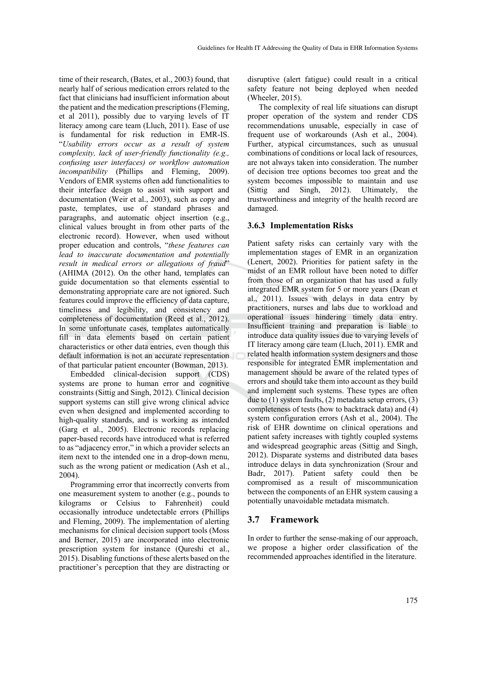time of their research, (Bates, et al., 2003) found, that nearly half of serious medication errors related to the fact that clinicians had insufficient information about the patient and the medication prescriptions (Fleming, et al 2011), possibly due to varying levels of IT literacy among care team (Lluch, 2011). Ease of use is fundamental for risk reduction in EMR-IS. "*Usability errors occur as a result of system complexity, lack of user-friendly functionality (e.g., confusing user interfaces) or workflow automation incompatibility* (Phillips and Fleming, 2009). Vendors of EMR systems often add functionalities to their interface design to assist with support and documentation (Weir et al., 2003), such as copy and paste, templates, use of standard phrases and paragraphs, and automatic object insertion (e.g., clinical values brought in from other parts of the electronic record). However, when used without proper education and controls, "*these features can lead to inaccurate documentation and potentially result in medical errors or allegations of fraud*" (AHIMA (2012). On the other hand, templates can guide documentation so that elements essential to demonstrating appropriate care are not ignored. Such features could improve the efficiency of data capture, timeliness and legibility, and consistency and completeness of documentation (Reed et al., 2012). In some unfortunate cases, templates automatically fill in data elements based on certain patient characteristics or other data entries, even though this default information is not an accurate representation of that particular patient encounter (Bowman, 2013).

Embedded clinical-decision support (CDS) systems are prone to human error and cognitive constraints (Sittig and Singh, 2012). Clinical decision support systems can still give wrong clinical advice even when designed and implemented according to high-quality standards, and is working as intended (Garg et al., 2005). Electronic records replacing paper-based records have introduced what is referred to as "adjacency error," in which a provider selects an item next to the intended one in a drop-down menu, such as the wrong patient or medication (Ash et al., 2004).

Programming error that incorrectly converts from one measurement system to another (e.g., pounds to kilograms or Celsius to Fahrenheit) could occasionally introduce undetectable errors (Phillips and Fleming, 2009). The implementation of alerting mechanisms for clinical decision support tools (Moss and Berner, 2015) are incorporated into electronic prescription system for instance (Qureshi et al., 2015). Disabling functions of these alerts based on the practitioner's perception that they are distracting or

disruptive (alert fatigue) could result in a critical safety feature not being deployed when needed (Wheeler, 2015).

The complexity of real life situations can disrupt proper operation of the system and render CDS recommendations unusable, especially in case of frequent use of workarounds (Ash et al., 2004). Further, atypical circumstances, such as unusual combinations of conditions or local lack of resources, are not always taken into consideration. The number of decision tree options becomes too great and the system becomes impossible to maintain and use (Sittig and Singh, 2012). Ultimately, the trustworthiness and integrity of the health record are damaged.

#### **3.6.3 Implementation Risks**

Patient safety risks can certainly vary with the implementation stages of EMR in an organization (Lenert, 2002). Priorities for patient safety in the midst of an EMR rollout have been noted to differ from those of an organization that has used a fully integrated EMR system for 5 or more years (Dean et al., 2011). Issues with delays in data entry by practitioners, nurses and labs due to workload and operational issues hindering timely data entry. Insufficient training and preparation is liable to introduce data quality issues due to varying levels of IT literacy among care team (Lluch, 2011). EMR and related health information system designers and those responsible for integrated EMR implementation and management should be aware of the related types of errors and should take them into account as they build and implement such systems. These types are often due to (1) system faults, (2) metadata setup errors, (3) completeness of tests (how to backtrack data) and (4) system configuration errors (Ash et al., 2004). The risk of EHR downtime on clinical operations and patient safety increases with tightly coupled systems and widespread geographic areas (Sittig and Singh, 2012). Disparate systems and distributed data bases introduce delays in data synchronization (Srour and Badr, 2017). Patient safety could then be compromised as a result of miscommunication between the components of an EHR system causing a potentially unavoidable metadata mismatch.

### **3.7 Framework**

In order to further the sense-making of our approach, we propose a higher order classification of the recommended approaches identified in the literature.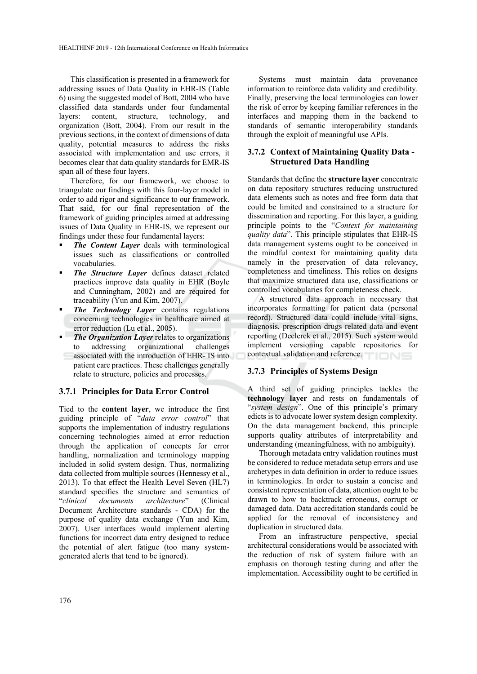This classification is presented in a framework for addressing issues of Data Quality in EHR-IS (Table 6) using the suggested model of Bott, 2004 who have classified data standards under four fundamental layers: content, structure, technology, and organization (Bott, 2004). From our result in the previous sections, in the context of dimensions of data quality, potential measures to address the risks associated with implementation and use errors, it becomes clear that data quality standards for EMR-IS span all of these four layers.

Therefore, for our framework, we choose to triangulate our findings with this four-layer model in order to add rigor and significance to our framework. That said, for our final representation of the framework of guiding principles aimed at addressing issues of Data Quality in EHR-IS, we represent our findings under these four fundamental layers:

- *The Content Layer* deals with terminological issues such as classifications or controlled vocabularies.
- *The Structure Layer* defines dataset related practices improve data quality in EHR (Boyle and Cunningham, 2002) and are required for traceability (Yun and Kim, 2007).
- *The Technology Layer* contains regulations concerning technologies in healthcare aimed at error reduction (Lu et al., 2005).
- **The Organization Layer** relates to organizations to addressing organizational challenges c associated with the introduction of EHR- IS into patient care practices. These challenges generally relate to structure, policies and processes.

#### **3.7.1 Principles for Data Error Control**

Tied to the **content layer**, we introduce the first guiding principle of "*data error control*" that supports the implementation of industry regulations concerning technologies aimed at error reduction through the application of concepts for error handling, normalization and terminology mapping included in solid system design. Thus, normalizing data collected from multiple sources (Hennessy et al., 2013). To that effect the Health Level Seven (HL7) standard specifies the structure and semantics of "*clinical documents architecture*" (Clinical Document Architecture standards - CDA) for the purpose of quality data exchange (Yun and Kim, 2007). User interfaces would implement alerting functions for incorrect data entry designed to reduce the potential of alert fatigue (too many systemgenerated alerts that tend to be ignored).

Systems must maintain data provenance information to reinforce data validity and credibility. Finally, preserving the local terminologies can lower the risk of error by keeping familiar references in the interfaces and mapping them in the backend to standards of semantic interoperability standards through the exploit of meaningful use APIs.

### **3.7.2 Context of Maintaining Quality Data - Structured Data Handling**

Standards that define the **structure layer** concentrate on data repository structures reducing unstructured data elements such as notes and free form data that could be limited and constrained to a structure for dissemination and reporting. For this layer, a guiding principle points to the "*Context for maintaining quality data*". This principle stipulates that EHR-IS data management systems ought to be conceived in the mindful context for maintaining quality data namely in the preservation of data relevancy, completeness and timeliness. This relies on designs that maximize structured data use, classifications or controlled vocabularies for completeness check.

A structured data approach in necessary that incorporates formatting for patient data (personal record). Structured data could include vital signs, diagnosis, prescription drugs related data and event reporting (Declerck et al., 2015). Such system would implement versioning capable repositories for contextual validation and reference.

### **3.7.3 Principles of Systems Design**

A third set of guiding principles tackles the **technology layer** and rests on fundamentals of "*system design*". One of this principle's primary edicts is to advocate lower system design complexity. On the data management backend, this principle supports quality attributes of interpretability and understanding (meaningfulness, with no ambiguity).

Thorough metadata entry validation routines must be considered to reduce metadata setup errors and use archetypes in data definition in order to reduce issues in terminologies. In order to sustain a concise and consistent representation of data, attention ought to be drawn to how to backtrack erroneous, corrupt or damaged data. Data accreditation standards could be applied for the removal of inconsistency and duplication in structured data.

From an infrastructure perspective, special architectural considerations would be associated with the reduction of risk of system failure with an emphasis on thorough testing during and after the implementation. Accessibility ought to be certified in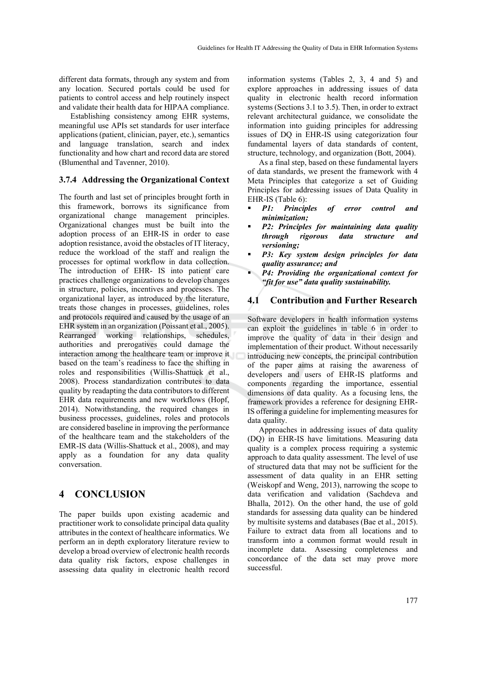different data formats, through any system and from any location. Secured portals could be used for patients to control access and help routinely inspect and validate their health data for HIPAA compliance.

Establishing consistency among EHR systems, meaningful use APIs set standards for user interface applications (patient, clinician, payer, etc.), semantics and language translation, search and index functionality and how chart and record data are stored (Blumenthal and Tavenner, 2010).

### **3.7.4 Addressing the Organizational Context**

The fourth and last set of principles brought forth in this framework, borrows its significance from organizational change management principles. Organizational changes must be built into the adoption process of an EHR-IS in order to ease adoption resistance, avoid the obstacles of IT literacy, reduce the workload of the staff and realign the processes for optimal workflow in data collection. The introduction of EHR- IS into patient care practices challenge organizations to develop changes in structure, policies, incentives and processes. The organizational layer, as introduced by the literature, treats those changes in processes, guidelines, roles and protocols required and caused by the usage of an EHR system in an organization (Poissant et al., 2005). Rearranged working relationships, schedules, authorities and prerogatives could damage the interaction among the healthcare team or improve it based on the team's readiness to face the shifting in roles and responsibilities (Willis-Shattuck et al., 2008). Process standardization contributes to data quality by readapting the data contributors to different EHR data requirements and new workflows (Hopf, 2014). Notwithstanding, the required changes in business processes, guidelines, roles and protocols are considered baseline in improving the performance of the healthcare team and the stakeholders of the EMR-IS data (Willis-Shattuck et al., 2008), and may apply as a foundation for any data quality conversation.

# **4 CONCLUSION**

The paper builds upon existing academic and practitioner work to consolidate principal data quality attributes in the context of healthcare informatics. We perform an in depth exploratory literature review to develop a broad overview of electronic health records data quality risk factors, expose challenges in assessing data quality in electronic health record

information systems (Tables 2, 3, 4 and 5) and explore approaches in addressing issues of data quality in electronic health record information systems (Sections 3.1 to 3.5). Then, in order to extract relevant architectural guidance, we consolidate the information into guiding principles for addressing issues of DQ in EHR-IS using categorization four fundamental layers of data standards of content, structure, technology, and organization (Bott, 2004).

As a final step, based on these fundamental layers of data standards, we present the framework with 4 Meta Principles that categorize a set of Guiding Principles for addressing issues of Data Quality in EHR-IS (Table 6):

- *P1: Principles of error control and minimization;*
- *P2: Principles for maintaining data quality through rigorous data structure and versioning;*
- *P3: Key system design principles for data quality assurance; and*
- *P4: Providing the organizational context for "fit for use" data quality sustainability.*

### **4.1 Contribution and Further Research**

Software developers in health information systems can exploit the guidelines in table 6 in order to improve the quality of data in their design and implementation of their product. Without necessarily introducing new concepts, the principal contribution of the paper aims at raising the awareness of developers and users of EHR-IS platforms and components regarding the importance, essential dimensions of data quality. As a focusing lens, the framework provides a reference for designing EHR-IS offering a guideline for implementing measures for data quality.

Approaches in addressing issues of data quality (DQ) in EHR-IS have limitations. Measuring data quality is a complex process requiring a systemic approach to data quality assessment. The level of use of structured data that may not be sufficient for the assessment of data quality in an EHR setting (Weiskopf and Weng, 2013), narrowing the scope to data verification and validation (Sachdeva and Bhalla, 2012). On the other hand, the use of gold standards for assessing data quality can be hindered by multisite systems and databases (Bae et al., 2015). Failure to extract data from all locations and to transform into a common format would result in incomplete data. Assessing completeness and concordance of the data set may prove more successful.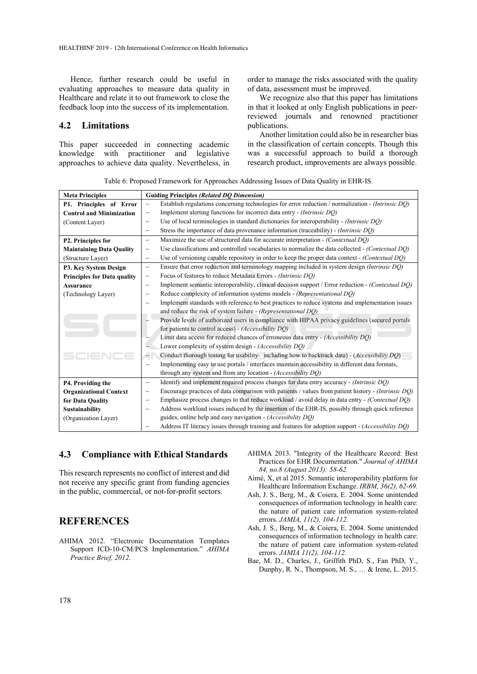Hence, further research could be useful in evaluating approaches to measure data quality in Healthcare and relate it to out framework to close the feedback loop into the success of its implementation.

### **4.2 Limitations**

This paper succeeded in connecting academic knowledge with practitioner and legislative approaches to achieve data quality. Nevertheless, in order to manage the risks associated with the quality of data, assessment must be improved.

We recognize also that this paper has limitations in that it looked at only English publications in peerreviewed journals and renowned practitioner publications.

Another limitation could also be in researcher bias in the classification of certain concepts. Though this was a successful approach to build a thorough research product, improvements are always possible.

Table 6: Proposed Framework for Approaches Addressing Issues of Data Quality in EHR-IS.

| <b>Meta Principles</b>             | <b>Guiding Principles (Related DO Dimension)</b>                                                                              |  |
|------------------------------------|-------------------------------------------------------------------------------------------------------------------------------|--|
| P1. Principles of Error            | Establish regulations concerning technologies for error reduction / normalization - (Intrinsic DQ)                            |  |
| <b>Control and Minimization</b>    | Implement alerting functions for incorrect data entry - (Intrinsic DQ)<br>-                                                   |  |
| (Content Layer)                    | Use of local terminologies in standard dictionaries for interoperability - (Intrinsic DO)<br>$\equiv$                         |  |
|                                    | Stress the importance of data provenance information (traceability) - (Intrinsic DO)<br>$\equiv$                              |  |
| P2. Principles for                 | Maximize the use of structured data for accurate interpretation - (Contextual DQ)<br>$\equiv$                                 |  |
| <b>Maintaining Data Quality</b>    | Use classifications and controlled vocabularies to normalize the data collected - (Contextual DQ)<br>$\overline{\phantom{0}}$ |  |
| (Structure Layer)                  | Use of versioning capable repository in order to keep the proper data context - (Contextual DQ)<br>$\overline{\phantom{0}}$   |  |
| P3. Key System Design              | Ensure that error reduction and terminology mapping included in system design (Intrinsic DQ)<br>$\overline{\phantom{0}}$      |  |
| <b>Principles for Data quality</b> | Focus of features to reduce Metadata Errors - (Intrinsic DO)<br>-                                                             |  |
| <b>Assurance</b>                   | Implement semantic interoperability, clinical decision support / Error reduction - (Contextual DQ)<br>$\equiv$                |  |
| (Technology Layer)                 | Reduce complexity of information systems models - (Representational DQ)<br>-                                                  |  |
|                                    | Implement standards with reference to best practices to reduce systems and implementation issues                              |  |
|                                    | and reduce the risk of system failure - (Representational DQ)                                                                 |  |
|                                    | Provide levels of authorized users in compliance with HIPAA privacy guidelines (secured portals                               |  |
|                                    | for patients to control access) - (Accessibility DQ)                                                                          |  |
|                                    | Limit data access for reduced chances of erroneous data entry - (Accessibility DQ)                                            |  |
|                                    | Lower complexity of system design - (Accessibility DQ)                                                                        |  |
| SCIENCE                            | $\overline{\phantom{a}}$<br>Conduct thorough testing for usability-including how to backtrack data) - (Accessibility DQ)      |  |
|                                    | Implementing easy to use portals / interfaces maintain accessibility in different data formats,<br>$\equiv$                   |  |
|                                    | through any system and from any location - (Accessibility DQ)                                                                 |  |
| P4. Providing the                  | Identify and implement required process changes for data entry accuracy - (Intrinsic DQ)<br>$\qquad \qquad -$                 |  |
| <b>Organizational Context</b>      | Encourage practices of data comparison with patients / values from patient history - (Intrinsic DQ)<br>-                      |  |
| for Data Quality                   | Emphasize process changes to that reduce workload / avoid delay in data entry - (Contextual DQ)<br>$\equiv$                   |  |
| Sustainability                     | Address workload issues induced by the insertion of the EHR-IS, possibly through quick reference<br>$\equiv$                  |  |
| (Organization Layer)               | guides, online help and easy navigation - (Accessibility DQ)                                                                  |  |
|                                    | Address IT literacy issues through training and features for adoption support - (Accessibility DQ)                            |  |

### **4.3 Compliance with Ethical Standards**

This research represents no conflict of interest and did not receive any specific grant from funding agencies in the public, commercial, or not-for-profit sectors.

## **REFERENCES**

- AHIMA 2012. "Electronic Documentation Templates Support ICD-10-CM/PCS Implementation." *AHIMA Practice Brief, 2012*.
- AHIMA 2013. "Integrity of the Healthcare Record: Best Practices for EHR Documentation." *Journal of AHIMA 84, no.8 (August 2013): 58-62.*
- Aimé, X, et al 2015. Semantic interoperability platform for Healthcare Information Exchange. *IRBM, 36(2), 62-69.*
- Ash, J. S., Berg, M., & Coiera, E. 2004. Some unintended consequences of information technology in health care: the nature of patient care information system-related errors. *JAMIA, 11(2), 104-112.*
- Ash, J. S., Berg, M., & Coiera, E. 2004. Some unintended consequences of information technology in health care: the nature of patient care information system-related errors. *JAMIA 11(2), 104-112.*
- Bae, M. D., Charles, J., Griffith PhD, S., Fan PhD, Y., Dunphy, R. N., Thompson, M. S., … & Irene, L. 2015.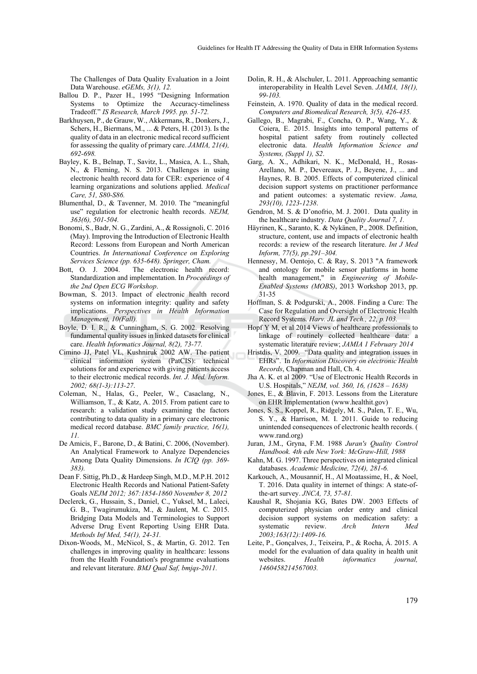The Challenges of Data Quality Evaluation in a Joint Data Warehouse. *eGEMs, 3(1), 12.* 

- Ballou D. P., Pazer H., 1995 "Designing Information Systems to Optimize the Accuracy-timeliness Tradeoff." *IS Research, March 1995. pp. 51-72.*
- Barkhuysen, P., de Grauw, W., Akkermans, R., Donkers, J., Schers, H., Biermans, M., ... & Peters, H. (2013). Is the quality of data in an electronic medical record sufficient for assessing the quality of primary care. *JAMIA, 21(4), 692-698.*
- Bayley, K. B., Belnap, T., Savitz, L., Masica, A. L., Shah, N., & Fleming, N. S. 2013. Challenges in using electronic health record data for CER: experience of 4 learning organizations and solutions applied. *Medical Care, 51, S80-S86.*
- Blumenthal, D., & Tavenner, M. 2010. The "meaningful use" regulation for electronic health records. *NEJM, 363(6), 501-504.*
- Bonomi, S., Badr, N. G., Zardini, A., & Rossignoli, C. 2016 (May). Improving the Introduction of Electronic Health Record: Lessons from European and North American Countries. *In International Conference on Exploring Services Science (pp. 635-648). Springer, Cham.*
- Bott, O. J. 2004. The electronic health record: Standardization and implementation. In *Proceedings of the 2nd Open ECG Workshop*.
- Bowman, S. 2013. Impact of electronic health record systems on information integrity: quality and safety implications. *Perspectives in Health Information Management, 10(Fall).*
- Boyle, D. I. R., & Cunningham, S. G. 2002. Resolving fundamental quality issues in linked datasets for clinical care. *Health Informatics Journal, 8(2), 73-77.*
- Cimino JJ, Patel VL, Kushniruk 2002 AW. The patient clinical information system (PatCIS): technical solutions for and experience with giving patients access to their electronic medical records. *Int. J. Med. Inform. 2002; 68(1-3):113-27*.
- Coleman, N., Halas, G., Peeler, W., Casaclang, N., Williamson, T., & Katz, A. 2015. From patient care to research: a validation study examining the factors contributing to data quality in a primary care electronic medical record database. *BMC family practice, 16(1), 11.*
- De Amicis, F., Barone, D., & Batini, C. 2006, (November). An Analytical Framework to Analyze Dependencies Among Data Quality Dimensions. *In ICIQ (pp. 369- 383).*
- Dean F. Sittig, Ph.D., & Hardeep Singh, M.D., M.P.H. 2012 Electronic Health Records and National Patient-Safety Goals *NEJM 2012; 367:1854-1860 November 8, 2012*
- Declerck, G., Hussain, S., Daniel, C., Yuksel, M., Laleci, G. B., Twagirumukiza, M., & Jaulent, M. C. 2015. Bridging Data Models and Terminologies to Support Adverse Drug Event Reporting Using EHR Data. *Methods Inf Med, 54(1), 24-31.*
- Dixon-Woods, M., McNicol, S., & Martin, G. 2012. Ten challenges in improving quality in healthcare: lessons from the Health Foundation's programme evaluations and relevant literature. *BMJ Qual Saf, bmjqs-2011.*
- Dolin, R. H., & Alschuler, L. 2011. Approaching semantic interoperability in Health Level Seven. *JAMIA, 18(1), 99-103.*
- Feinstein, A. 1970. Quality of data in the medical record. *Computers and Biomedical Research, 3(5), 426-435.*
- Gallego, B., Magrabi, F., Concha, O. P., Wang, Y., & Coiera, E. 2015. Insights into temporal patterns of hospital patient safety from routinely collected electronic data. *Health Information Science and Systems, (Suppl 1), S2*.
- Garg, A. X., Adhikari, N. K., McDonald, H., Rosas-Arellano, M. P., Devereaux, P. J., Beyene, J., ... and Haynes, R. B. 2005. Effects of computerized clinical decision support systems on practitioner performance and patient outcomes: a systematic review. *Jama, 293(10), 1223-1238*.
- Gendron, M. S. & D'onofrio, M. J. 2001. Data quality in the healthcare industry. *Data Quality Journal 7, 1.*
- Häyrinen, K., Saranto, K. & Nykänen, P., 2008. Definition, structure, content, use and impacts of electronic health records: a review of the research literature. *Int J Med Inform, 77(5), pp.291–304.*
- Hennessy, M. Oentojo, C. & Ray, S. 2013 "A framework and ontology for mobile sensor platforms in home health management," in *Engineering of Mobile-Enabled Systems (MOBS)*, 2013 Workshop 2013, pp. 31-35
- Hoffman, S. & Podgurski, A., 2008. Finding a Cure: The Case for Regulation and Oversight of Electronic Health Record Systems. *Harv. JL and Tech., 22, p.103.*
- Hopf Y M, et al 2014 Views of healthcare professionals to linkage of routinely collected healthcare data: a systematic literature review; *JAMIA 1 February 2014*
- Hristdis, V. 2009. "Data quality and integration issues in EHRs". In *Information Discovery on electronic Health Records*, Chapman and Hall, Ch. 4.
- Jha A. K. et al 2009. "Use of Electronic Health Records in U.S. Hospitals," *NEJM, vol. 360, 16, (1628 – 1638)*
- Jones, E., & Blavin, F. 2013. Lessons from the Literature on EHR Implementation (www.healthit.gov)
- Jones, S. S., Koppel, R., Ridgely, M. S., Palen, T. E., Wu, S. Y., & Harrison, M. I. 2011. Guide to reducing unintended consequences of electronic health records. ( www.rand.org)
- Juran, J.M., Gryna, F.M. 1988 *Juran's Quality Control Handbook. 4th edn New York: McGraw-Hill, 1988*
- Kahn, M. G. 1997. Three perspectives on integrated clinical databases. *Academic Medicine, 72(4), 281-6.*
- Karkouch, A., Mousannif, H., Al Moatassime, H., & Noel, T. 2016. Data quality in internet of things: A state-ofthe-art survey. *JNCA, 73, 57-81.*
- Kaushal R, Shojania KG, Bates DW. 2003 Effects of computerized physician order entry and clinical decision support systems on medication safety: a systematic review. *Arch Intern Med 2003;163(12):1409-16.*
- Leite, P., Gonçalves, J., Teixeira, P., & Rocha, Á. 2015. A model for the evaluation of data quality in health unit websites. *Health informatics journal, 1460458214567003.*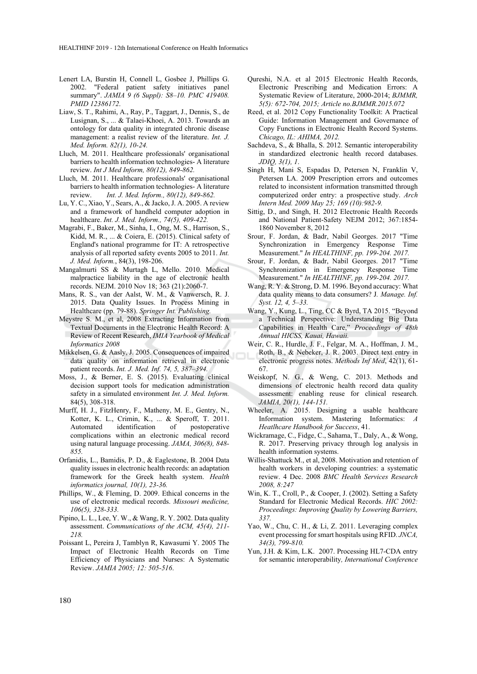- Lenert LA, Burstin H, Connell L, Gosbee J, Phillips G. 2002. "Federal patient safety initiatives panel summary". *JAMIA 9 (6 Suppl): S8–10. PMC 419408. PMID 12386172*.
- Liaw, S. T., Rahimi, A., Ray, P., Taggart, J., Dennis, S., de Lusignan, S., ... & Talaei-Khoei, A. 2013. Towards an ontology for data quality in integrated chronic disease management: a realist review of the literature. *Int. J. Med. Inform. 82(1), 10-24.*
- Lluch, M. 2011. Healthcare professionals' organisational barriers to health information technologies- A literature review. *Int J Med Inform, 80(12), 849-862.*
- Lluch, M. 2011. Healthcare professionals' organisational barriers to health information technologies- A literature review. *Int. J. Med. Inform., 80(12), 849-862.*
- Lu, Y. C., Xiao, Y., Sears, A., & Jacko, J. A. 2005. A review and a framework of handheld computer adoption in healthcare. *Int. J. Med. Inform., 74(5), 409-422.*
- Magrabi, F., Baker, M., Sinha, I., Ong, M. S., Harrison, S., Kidd, M. R., ... & Coiera, E. (2015). Clinical safety of England's national programme for IT: A retrospective analysis of all reported safety events 2005 to 2011. *Int. J. Med. Inform.*, 84(3), 198-206.
- Mangalmurti SS & Murtagh L, Mello. 2010. Medical malpractice liability in the age of electronic health records. NEJM. 2010 Nov 18; 363 (21):2060-7.
- Mans, R. S., van der Aalst, W. M., & Vanwersch, R. J. 2015. Data Quality Issues. In Process Mining in Healthcare (pp. 79-88). *Springer Int. Publishing.*
- Meystre S. M., et al, 2008 Extracting Information from Textual Documents in the Electronic Health Record: A Review of Recent Research, *IMIA Yearbook of Medical Informatics 2008*
- Mikkelsen, G. & Aasly, J. 2005. Consequences of impaired data quality on information retrieval in electronic patient records. *Int. J. Med. Inf. 74, 5, 387–394.*
- Moss, J., & Berner, E. S. (2015). Evaluating clinical decision support tools for medication administration safety in a simulated environment *Int. J. Med. Inform.*  84(5), 308-318.
- Murff, H. J., FitzHenry, F., Matheny, M. E., Gentry, N., Kotter, K. L., Crimin, K., ... & Speroff, T. 2011. Automated identification of postoperative complications within an electronic medical record using natural language processing. *JAMA, 306(8), 848- 855.*
- Orfanidis, L., Bamidis, P. D., & Eaglestone, B. 2004 Data quality issues in electronic health records: an adaptation framework for the Greek health system. *Health informatics journal, 10(1), 23-36.*
- Phillips, W., & Fleming, D. 2009. Ethical concerns in the use of electronic medical records. *Missouri medicine, 106(5), 328-333.*
- Pipino, L. L., Lee, Y. W., & Wang, R. Y. 2002. Data quality assessment. *Communications of the ACM, 45(4), 211- 218.*
- Poissant L, Pereira J, Tamblyn R, Kawasumi Y. 2005 The Impact of Electronic Health Records on Time Efficiency of Physicians and Nurses: A Systematic Review. *JAMIA 2005; 12: 505-516*.
- Qureshi, N.A. et al 2015 Electronic Health Records, Electronic Prescribing and Medication Errors: A Systematic Review of Literature, 2000-2014; *BJMMR, 5(5): 672-704, 2015; Article no.BJMMR.2015.072*
- Reed, et al. 2012 Copy Functionality Toolkit: A Practical Guide: Information Management and Governance of Copy Functions in Electronic Health Record Systems. *Chicago, IL: AHIMA, 2012.*
- Sachdeva, S., & Bhalla, S. 2012. Semantic interoperability in standardized electronic health record databases. *JDIQ, 3(1), 1*.
- Singh H, Mani S, Espadas D, Petersen N, Franklin V, Petersen LA. 2009 Prescription errors and outcomes related to inconsistent information transmitted through computerized order entry: a prospective study. *Arch Intern Med. 2009 May 25; 169 (10):982-9.*
- Sittig, D., and Singh, H. 2012 Electronic Health Records and National Patient-Safety NEJM 2012; 367:1854- 1860 November 8, 2012
- Srour, F. Jordan, & Badr, Nabil Georges. 2017 "Time Synchronization in Emergency Response Time Measurement." *In HEALTHINF, pp. 199-204. 2017.*
- Srour, F. Jordan, & Badr, Nabil Georges. 2017 "Time Synchronization in Emergency Response Time Measurement." *In HEALTHINF, pp. 199-204. 2017.*
- Wang, R. Y. & Strong, D. M. 1996. Beyond accuracy: What data quality means to data consumers? J*. Manage. Inf. Syst. 12, 4, 5–33.*
- Wang, Y., Kung, L., Ting, CC & Byrd, TA 2015. "Beyond a Technical Perspective: Understanding Big Data Capabilities in Health Care," *Proceedings of 48th Annual HICSS, Kauai, Hawaii.*
- Weir, C. R., Hurdle, J. F., Felgar, M. A., Hoffman, J. M., Roth, B., & Nebeker, J. R. 2003. Direct text entry in electronic progress notes. *Methods Inf Med*, 42(1), 61- 67.
- Weiskopf, N. G., & Weng, C. 2013. Methods and dimensions of electronic health record data quality assessment: enabling reuse for clinical research. *JAMIA, 20(1), 144-151.*
- Wheeler, A. 2015. Designing a usable healthcare Information system. Mastering Informatics: *A Heatlhcare Handbook for Success*, 41.
- Wickramage, C., Fidge, C., Sahama, T., Daly, A., & Wong, R. 2017. Preserving privacy through log analysis in health information systems.
- Willis-Shattuck M., et al, 2008. Motivation and retention of health workers in developing countries: a systematic review. 4 Dec. 2008 *BMC Health Services Research 2008, 8:247*
- Win, K. T., Croll, P., & Cooper, J. (2002). Setting a Safety Standard for Electronic Medical Records. *HIC 2002: Proceedings: Improving Quality by Lowering Barriers, 337.*
- Yao, W., Chu, C. H., & Li, Z. 2011. Leveraging complex event processing for smart hospitals using RFID. *JNCA, 34(3), 799-810.*
- Yun, J.H. & Kim, L.K. 2007. Processing HL7-CDA entry for semantic interoperability*, International Conference*